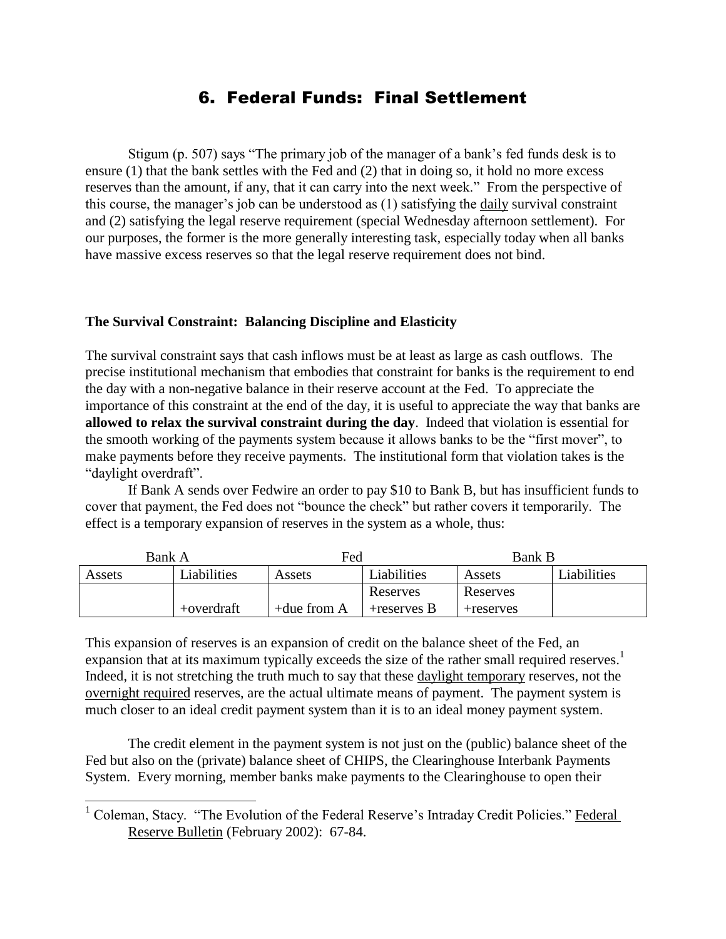## 6. Federal Funds: Final Settlement

Stigum (p. 507) says "The primary job of the manager of a bank's fed funds desk is to ensure (1) that the bank settles with the Fed and (2) that in doing so, it hold no more excess reserves than the amount, if any, that it can carry into the next week." From the perspective of this course, the manager's job can be understood as (1) satisfying the daily survival constraint and (2) satisfying the legal reserve requirement (special Wednesday afternoon settlement). For our purposes, the former is the more generally interesting task, especially today when all banks have massive excess reserves so that the legal reserve requirement does not bind.

### **The Survival Constraint: Balancing Discipline and Elasticity**

The survival constraint says that cash inflows must be at least as large as cash outflows. The precise institutional mechanism that embodies that constraint for banks is the requirement to end the day with a non-negative balance in their reserve account at the Fed. To appreciate the importance of this constraint at the end of the day, it is useful to appreciate the way that banks are **allowed to relax the survival constraint during the day**. Indeed that violation is essential for the smooth working of the payments system because it allows banks to be the "first mover", to make payments before they receive payments. The institutional form that violation takes is the "daylight overdraft".

If Bank A sends over Fedwire an order to pay \$10 to Bank B, but has insufficient funds to cover that payment, the Fed does not "bounce the check" but rather covers it temporarily. The effect is a temporary expansion of reserves in the system as a whole, thus:

| Bank A |             | Fed            |                | Bank B    |                    |
|--------|-------------|----------------|----------------|-----------|--------------------|
| Assets | Liabilities | Assets         | Liabilities    | Assets    | <b>Liabilities</b> |
|        |             |                | Reserves       | Reserves  |                    |
|        | +overdraft  | $+$ due from A | $+$ reserves B | +reserves |                    |

This expansion of reserves is an expansion of credit on the balance sheet of the Fed, an expansion that at its maximum typically exceeds the size of the rather small required reserves.<sup>1</sup> Indeed, it is not stretching the truth much to say that these daylight temporary reserves, not the overnight required reserves, are the actual ultimate means of payment. The payment system is much closer to an ideal credit payment system than it is to an ideal money payment system.

The credit element in the payment system is not just on the (public) balance sheet of the Fed but also on the (private) balance sheet of CHIPS, the Clearinghouse Interbank Payments System. Every morning, member banks make payments to the Clearinghouse to open their

 $\overline{a}$ 

<sup>&</sup>lt;sup>1</sup> Coleman, Stacy. "The Evolution of the Federal Reserve's Intraday Credit Policies." Federal Reserve Bulletin (February 2002): 67-84.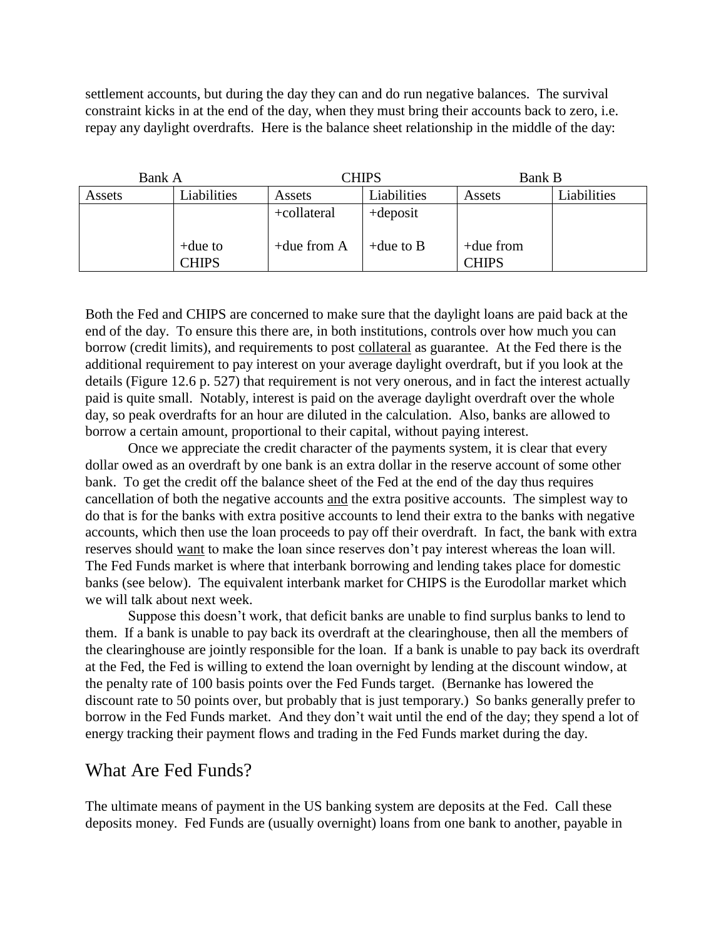settlement accounts, but during the day they can and do run negative balances. The survival constraint kicks in at the end of the day, when they must bring their accounts back to zero, i.e. repay any daylight overdrafts. Here is the balance sheet relationship in the middle of the day:

| Bank A |                            | CHIPS          |              | <b>Bank B</b>                |             |
|--------|----------------------------|----------------|--------------|------------------------------|-------------|
| Assets | Liabilities                | Assets         | Liabilities  | Assets                       | Liabilities |
|        |                            | +collateral    | $+$ deposit  |                              |             |
|        | $+$ due to<br><b>CHIPS</b> | $+$ due from A | $+$ due to B | $+$ due from<br><b>CHIPS</b> |             |

Both the Fed and CHIPS are concerned to make sure that the daylight loans are paid back at the end of the day. To ensure this there are, in both institutions, controls over how much you can borrow (credit limits), and requirements to post collateral as guarantee. At the Fed there is the additional requirement to pay interest on your average daylight overdraft, but if you look at the details (Figure 12.6 p. 527) that requirement is not very onerous, and in fact the interest actually paid is quite small. Notably, interest is paid on the average daylight overdraft over the whole day, so peak overdrafts for an hour are diluted in the calculation. Also, banks are allowed to borrow a certain amount, proportional to their capital, without paying interest.

Once we appreciate the credit character of the payments system, it is clear that every dollar owed as an overdraft by one bank is an extra dollar in the reserve account of some other bank. To get the credit off the balance sheet of the Fed at the end of the day thus requires cancellation of both the negative accounts and the extra positive accounts. The simplest way to do that is for the banks with extra positive accounts to lend their extra to the banks with negative accounts, which then use the loan proceeds to pay off their overdraft. In fact, the bank with extra reserves should want to make the loan since reserves don't pay interest whereas the loan will. The Fed Funds market is where that interbank borrowing and lending takes place for domestic banks (see below). The equivalent interbank market for CHIPS is the Eurodollar market which we will talk about next week.

Suppose this doesn't work, that deficit banks are unable to find surplus banks to lend to them. If a bank is unable to pay back its overdraft at the clearinghouse, then all the members of the clearinghouse are jointly responsible for the loan. If a bank is unable to pay back its overdraft at the Fed, the Fed is willing to extend the loan overnight by lending at the discount window, at the penalty rate of 100 basis points over the Fed Funds target. (Bernanke has lowered the discount rate to 50 points over, but probably that is just temporary.) So banks generally prefer to borrow in the Fed Funds market. And they don't wait until the end of the day; they spend a lot of energy tracking their payment flows and trading in the Fed Funds market during the day.

# What Are Fed Funds?

The ultimate means of payment in the US banking system are deposits at the Fed. Call these deposits money. Fed Funds are (usually overnight) loans from one bank to another, payable in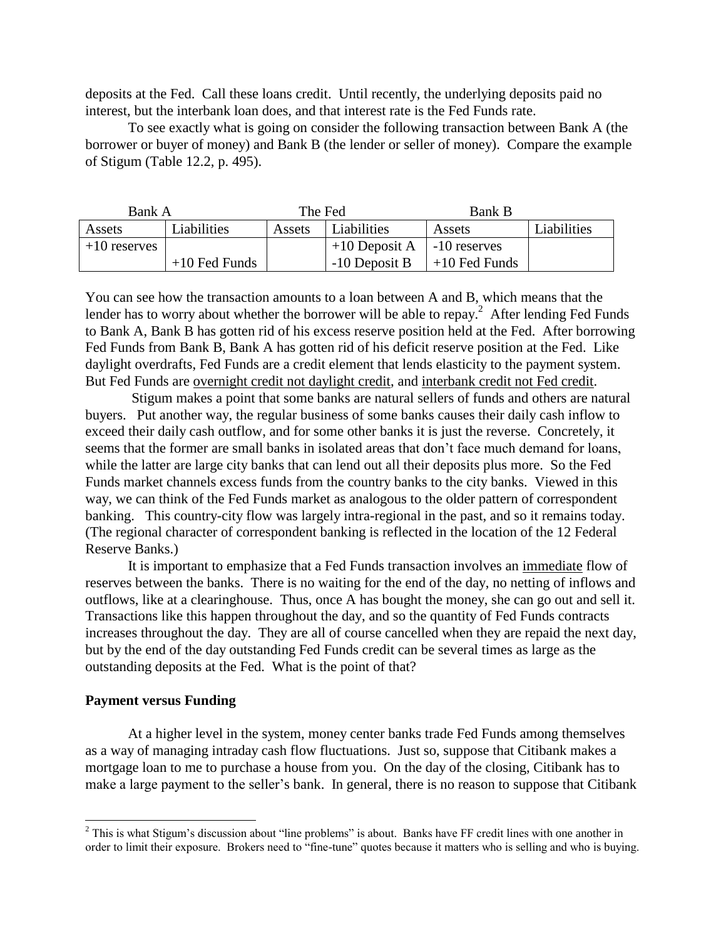deposits at the Fed. Call these loans credit. Until recently, the underlying deposits paid no interest, but the interbank loan does, and that interest rate is the Fed Funds rate.

To see exactly what is going on consider the following transaction between Bank A (the borrower or buyer of money) and Bank B (the lender or seller of money). Compare the example of Stigum (Table 12.2, p. 495).

| Bank A         |                 | The Fed |                                | <b>Bank B</b>   |             |
|----------------|-----------------|---------|--------------------------------|-----------------|-------------|
| Assets         | Liabilities     | Assets  | Liabilities                    | Assets          | Liabilities |
| $+10$ reserves |                 |         | $+10$ Deposit A   -10 reserves |                 |             |
|                | $+10$ Fed Funds |         | $-10$ Deposit B                | $+10$ Fed Funds |             |

You can see how the transaction amounts to a loan between A and B, which means that the lender has to worry about whether the borrower will be able to repay.<sup>2</sup> After lending Fed Funds to Bank A, Bank B has gotten rid of his excess reserve position held at the Fed. After borrowing Fed Funds from Bank B, Bank A has gotten rid of his deficit reserve position at the Fed. Like daylight overdrafts, Fed Funds are a credit element that lends elasticity to the payment system. But Fed Funds are overnight credit not daylight credit, and interbank credit not Fed credit.

Stigum makes a point that some banks are natural sellers of funds and others are natural buyers. Put another way, the regular business of some banks causes their daily cash inflow to exceed their daily cash outflow, and for some other banks it is just the reverse. Concretely, it seems that the former are small banks in isolated areas that don't face much demand for loans, while the latter are large city banks that can lend out all their deposits plus more. So the Fed Funds market channels excess funds from the country banks to the city banks. Viewed in this way, we can think of the Fed Funds market as analogous to the older pattern of correspondent banking. This country-city flow was largely intra-regional in the past, and so it remains today. (The regional character of correspondent banking is reflected in the location of the 12 Federal Reserve Banks.)

It is important to emphasize that a Fed Funds transaction involves an immediate flow of reserves between the banks. There is no waiting for the end of the day, no netting of inflows and outflows, like at a clearinghouse. Thus, once A has bought the money, she can go out and sell it. Transactions like this happen throughout the day, and so the quantity of Fed Funds contracts increases throughout the day. They are all of course cancelled when they are repaid the next day, but by the end of the day outstanding Fed Funds credit can be several times as large as the outstanding deposits at the Fed. What is the point of that?

#### **Payment versus Funding**

 $\overline{a}$ 

At a higher level in the system, money center banks trade Fed Funds among themselves as a way of managing intraday cash flow fluctuations. Just so, suppose that Citibank makes a mortgage loan to me to purchase a house from you. On the day of the closing, Citibank has to make a large payment to the seller's bank. In general, there is no reason to suppose that Citibank

<sup>&</sup>lt;sup>2</sup> This is what Stigum's discussion about "line problems" is about. Banks have FF credit lines with one another in order to limit their exposure. Brokers need to "fine-tune" quotes because it matters who is selling and who is buying.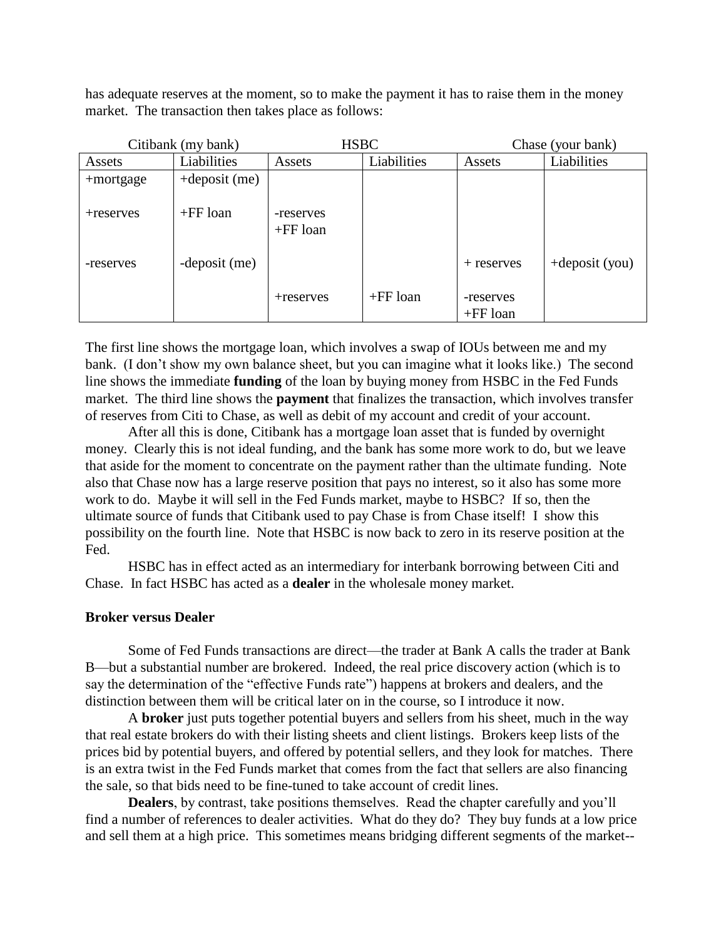has adequate reserves at the moment, so to make the payment it has to raise them in the money market. The transaction then takes place as follows:

| Citibank (my bank) |                  | <b>HSBC</b>             |             | Chase (your bank)       |                   |
|--------------------|------------------|-------------------------|-------------|-------------------------|-------------------|
| Assets             | Liabilities      | Assets                  | Liabilities | Assets                  | Liabilities       |
| +mortgage          | $+$ deposit (me) |                         |             |                         |                   |
| +reserves          | $+FF$ loan       | -reserves<br>$+FF$ loan |             |                         |                   |
| -reserves          | -deposit (me)    |                         |             | $+$ reserves            | $+$ deposit (you) |
|                    |                  | +reserves               | $+FF$ loan  | -reserves<br>$+FF$ loan |                   |

The first line shows the mortgage loan, which involves a swap of IOUs between me and my bank. (I don't show my own balance sheet, but you can imagine what it looks like.) The second line shows the immediate **funding** of the loan by buying money from HSBC in the Fed Funds market. The third line shows the **payment** that finalizes the transaction, which involves transfer of reserves from Citi to Chase, as well as debit of my account and credit of your account.

After all this is done, Citibank has a mortgage loan asset that is funded by overnight money. Clearly this is not ideal funding, and the bank has some more work to do, but we leave that aside for the moment to concentrate on the payment rather than the ultimate funding. Note also that Chase now has a large reserve position that pays no interest, so it also has some more work to do. Maybe it will sell in the Fed Funds market, maybe to HSBC? If so, then the ultimate source of funds that Citibank used to pay Chase is from Chase itself! I show this possibility on the fourth line. Note that HSBC is now back to zero in its reserve position at the Fed.

HSBC has in effect acted as an intermediary for interbank borrowing between Citi and Chase. In fact HSBC has acted as a **dealer** in the wholesale money market.

#### **Broker versus Dealer**

Some of Fed Funds transactions are direct—the trader at Bank A calls the trader at Bank B—but a substantial number are brokered. Indeed, the real price discovery action (which is to say the determination of the "effective Funds rate") happens at brokers and dealers, and the distinction between them will be critical later on in the course, so I introduce it now.

A **broker** just puts together potential buyers and sellers from his sheet, much in the way that real estate brokers do with their listing sheets and client listings. Brokers keep lists of the prices bid by potential buyers, and offered by potential sellers, and they look for matches. There is an extra twist in the Fed Funds market that comes from the fact that sellers are also financing the sale, so that bids need to be fine-tuned to take account of credit lines.

**Dealers**, by contrast, take positions themselves. Read the chapter carefully and you'll find a number of references to dealer activities. What do they do? They buy funds at a low price and sell them at a high price. This sometimes means bridging different segments of the market--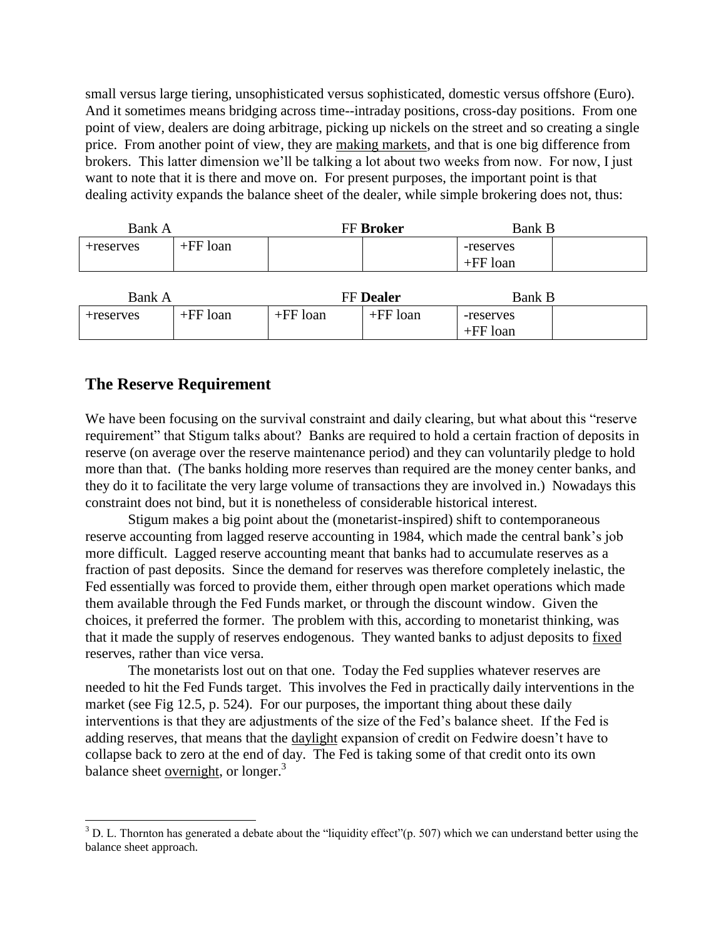small versus large tiering, unsophisticated versus sophisticated, domestic versus offshore (Euro). And it sometimes means bridging across time--intraday positions, cross-day positions. From one point of view, dealers are doing arbitrage, picking up nickels on the street and so creating a single price. From another point of view, they are making markets, and that is one big difference from brokers. This latter dimension we'll be talking a lot about two weeks from now. For now, I just want to note that it is there and move on. For present purposes, the important point is that dealing activity expands the balance sheet of the dealer, while simple brokering does not, thus:

| Bank A    |            | <b>FF Broker</b> |  |                         | <b>Bank B</b> |  |
|-----------|------------|------------------|--|-------------------------|---------------|--|
| +reserves | $+FF$ loan |                  |  | -reserves<br>$+FF$ loan |               |  |

| Bank A    |            | <b>FF Dealer</b> |            | Bank B                  |  |
|-----------|------------|------------------|------------|-------------------------|--|
| +reserves | $+FF$ loan | $+FF$ loan       | $+FF$ loan | -reserves<br>$+FF$ loan |  |

## **The Reserve Requirement**

 $\overline{a}$ 

We have been focusing on the survival constraint and daily clearing, but what about this "reserve" requirement" that Stigum talks about? Banks are required to hold a certain fraction of deposits in reserve (on average over the reserve maintenance period) and they can voluntarily pledge to hold more than that. (The banks holding more reserves than required are the money center banks, and they do it to facilitate the very large volume of transactions they are involved in.) Nowadays this constraint does not bind, but it is nonetheless of considerable historical interest.

Stigum makes a big point about the (monetarist-inspired) shift to contemporaneous reserve accounting from lagged reserve accounting in 1984, which made the central bank's job more difficult. Lagged reserve accounting meant that banks had to accumulate reserves as a fraction of past deposits. Since the demand for reserves was therefore completely inelastic, the Fed essentially was forced to provide them, either through open market operations which made them available through the Fed Funds market, or through the discount window. Given the choices, it preferred the former. The problem with this, according to monetarist thinking, was that it made the supply of reserves endogenous. They wanted banks to adjust deposits to fixed reserves, rather than vice versa.

The monetarists lost out on that one. Today the Fed supplies whatever reserves are needed to hit the Fed Funds target. This involves the Fed in practically daily interventions in the market (see Fig 12.5, p. 524). For our purposes, the important thing about these daily interventions is that they are adjustments of the size of the Fed's balance sheet. If the Fed is adding reserves, that means that the daylight expansion of credit on Fedwire doesn't have to collapse back to zero at the end of day. The Fed is taking some of that credit onto its own balance sheet overnight, or longer. $3$ 

 $3$  D. L. Thornton has generated a debate about the "liquidity effect" $(p. 507)$  which we can understand better using the balance sheet approach.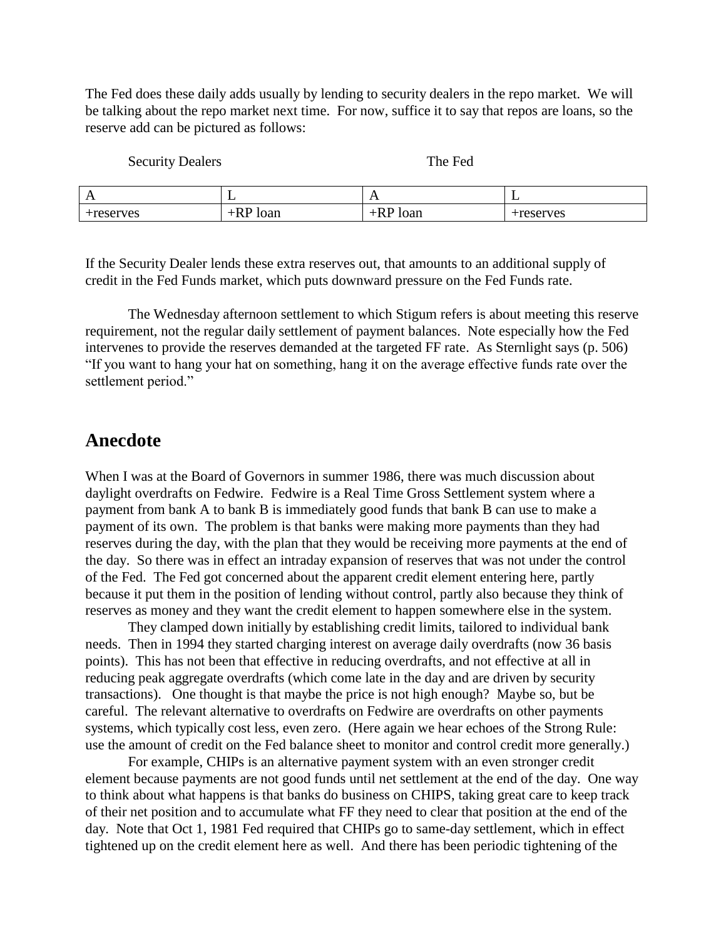The Fed does these daily adds usually by lending to security dealers in the repo market. We will be talking about the repo market next time. For now, suffice it to say that repos are loans, so the reserve add can be pictured as follows:

Security Dealers The Fed

| $\mathbf{A}$        | -                    | . .         | -                    |
|---------------------|----------------------|-------------|----------------------|
|                     |                      |             |                      |
| reserves:<br>$\sim$ | `∩ r<br>TOAIT<br>*** | loan<br>*** | erves<br><b>COLL</b> |

If the Security Dealer lends these extra reserves out, that amounts to an additional supply of credit in the Fed Funds market, which puts downward pressure on the Fed Funds rate.

The Wednesday afternoon settlement to which Stigum refers is about meeting this reserve requirement, not the regular daily settlement of payment balances. Note especially how the Fed intervenes to provide the reserves demanded at the targeted FF rate. As Sternlight says (p. 506) "If you want to hang your hat on something, hang it on the average effective funds rate over the settlement period."

## **Anecdote**

When I was at the Board of Governors in summer 1986, there was much discussion about daylight overdrafts on Fedwire. Fedwire is a Real Time Gross Settlement system where a payment from bank A to bank B is immediately good funds that bank B can use to make a payment of its own. The problem is that banks were making more payments than they had reserves during the day, with the plan that they would be receiving more payments at the end of the day. So there was in effect an intraday expansion of reserves that was not under the control of the Fed. The Fed got concerned about the apparent credit element entering here, partly because it put them in the position of lending without control, partly also because they think of reserves as money and they want the credit element to happen somewhere else in the system.

They clamped down initially by establishing credit limits, tailored to individual bank needs. Then in 1994 they started charging interest on average daily overdrafts (now 36 basis points). This has not been that effective in reducing overdrafts, and not effective at all in reducing peak aggregate overdrafts (which come late in the day and are driven by security transactions). One thought is that maybe the price is not high enough? Maybe so, but be careful. The relevant alternative to overdrafts on Fedwire are overdrafts on other payments systems, which typically cost less, even zero. (Here again we hear echoes of the Strong Rule: use the amount of credit on the Fed balance sheet to monitor and control credit more generally.)

For example, CHIPs is an alternative payment system with an even stronger credit element because payments are not good funds until net settlement at the end of the day. One way to think about what happens is that banks do business on CHIPS, taking great care to keep track of their net position and to accumulate what FF they need to clear that position at the end of the day. Note that Oct 1, 1981 Fed required that CHIPs go to same-day settlement, which in effect tightened up on the credit element here as well. And there has been periodic tightening of the